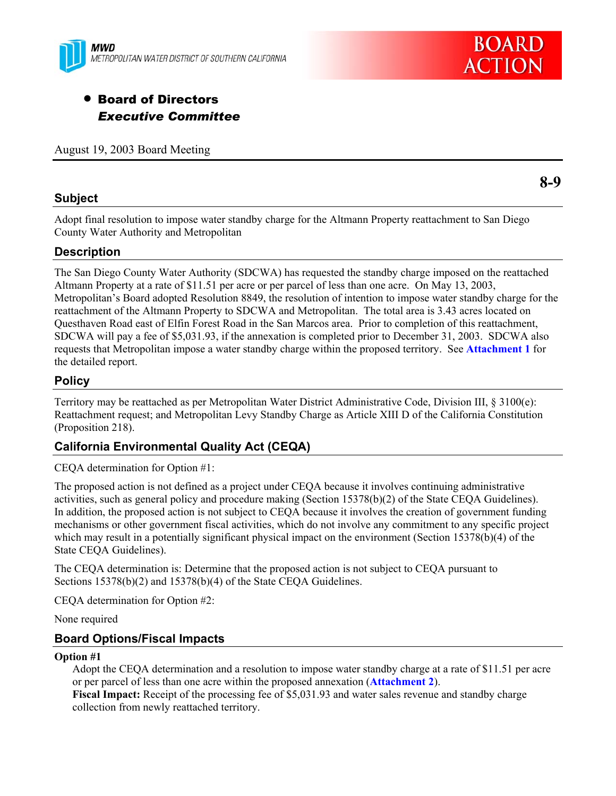



# • Board of Directors *Executive Committee*

August 19, 2003 Board Meeting

## **Subject**

**8-9** 

Adopt final resolution to impose water standby charge for the Altmann Property reattachment to San Diego County Water Authority and Metropolitan

## **Description**

The San Diego County Water Authority (SDCWA) has requested the standby charge imposed on the reattached Altmann Property at a rate of \$11.51 per acre or per parcel of less than one acre. On May 13, 2003, Metropolitan's Board adopted Resolution 8849, the resolution of intention to impose water standby charge for the reattachment of the Altmann Property to SDCWA and Metropolitan. The total area is 3.43 acres located on Questhaven Road east of Elfin Forest Road in the San Marcos area. Prior to completion of this reattachment, SDCWA will pay a fee of \$5,031.93, if the annexation is completed prior to December 31, 2003. SDCWA also requests that Metropolitan impose a water standby charge within the proposed territory. See **Attachment 1** for the detailed report.

## **Policy**

Territory may be reattached as per Metropolitan Water District Administrative Code, Division III, § 3100(e): Reattachment request; and Metropolitan Levy Standby Charge as Article XIII D of the California Constitution (Proposition 218).

## **California Environmental Quality Act (CEQA)**

CEQA determination for Option #1:

The proposed action is not defined as a project under CEQA because it involves continuing administrative activities, such as general policy and procedure making (Section 15378(b)(2) of the State CEQA Guidelines). In addition, the proposed action is not subject to CEQA because it involves the creation of government funding mechanisms or other government fiscal activities, which do not involve any commitment to any specific project which may result in a potentially significant physical impact on the environment (Section 15378(b)(4) of the State CEQA Guidelines).

The CEQA determination is: Determine that the proposed action is not subject to CEQA pursuant to Sections 15378(b)(2) and 15378(b)(4) of the State CEQA Guidelines.

CEQA determination for Option #2:

None required

## **Board Options/Fiscal Impacts**

#### **Option #1**

Adopt the CEQA determination and a resolution to impose water standby charge at a rate of \$11.51 per acre or per parcel of less than one acre within the proposed annexation (**Attachment 2**). **Fiscal Impact:** Receipt of the processing fee of \$5,031.93 and water sales revenue and standby charge collection from newly reattached territory.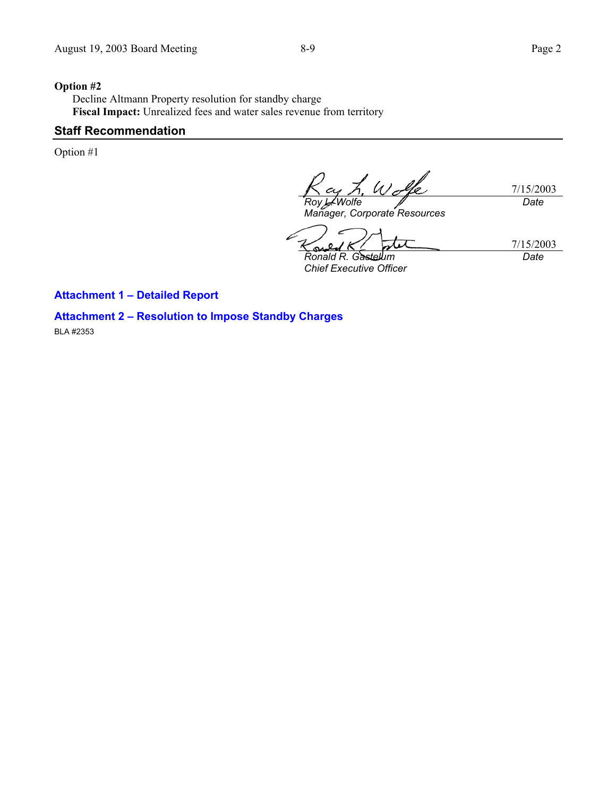#### **Option #2**

Decline Altmann Property resolution for standby charge **Fiscal Impact:** Unrealized fees and water sales revenue from territory

### **Staff Recommendation**

Option #1

 $U$ 7/15/2003 *Roy L. Wolfe Date* 

*Manager, Corporate Resources* 

k ç *Ronald R. Gastelum Chief Executive Officer* 

7/15/2003 *Date* 

#### **Attachment 1 – Detailed Report**

**Attachment 2 – Resolution to Impose Standby Charges** 

BLA #2353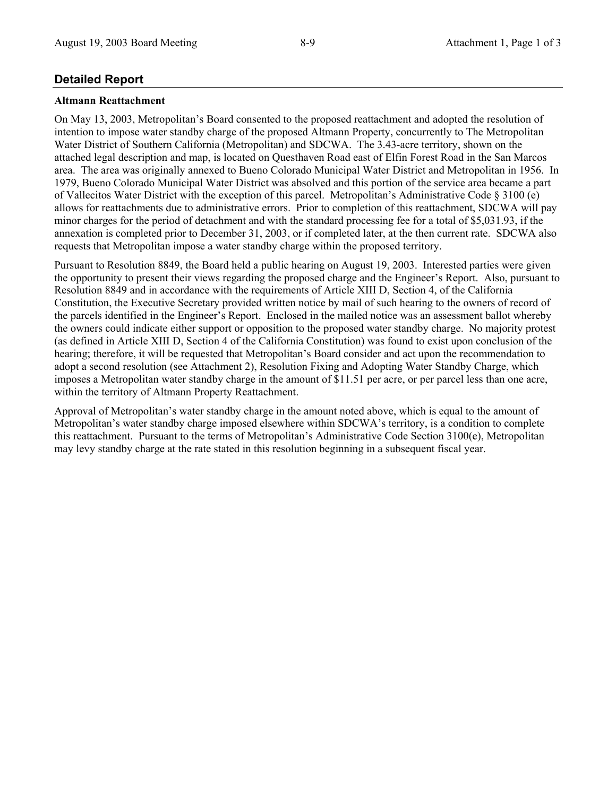## **Detailed Report**

#### **Altmann Reattachment**

On May 13, 2003, Metropolitan's Board consented to the proposed reattachment and adopted the resolution of intention to impose water standby charge of the proposed Altmann Property, concurrently to The Metropolitan Water District of Southern California (Metropolitan) and SDCWA. The 3.43-acre territory, shown on the attached legal description and map, is located on Questhaven Road east of Elfin Forest Road in the San Marcos area. The area was originally annexed to Bueno Colorado Municipal Water District and Metropolitan in 1956. In 1979, Bueno Colorado Municipal Water District was absolved and this portion of the service area became a part of Vallecitos Water District with the exception of this parcel. Metropolitan's Administrative Code § 3100 (e) allows for reattachments due to administrative errors. Prior to completion of this reattachment, SDCWA will pay minor charges for the period of detachment and with the standard processing fee for a total of \$5,031.93, if the annexation is completed prior to December 31, 2003, or if completed later, at the then current rate. SDCWA also requests that Metropolitan impose a water standby charge within the proposed territory.

Pursuant to Resolution 8849, the Board held a public hearing on August 19, 2003. Interested parties were given the opportunity to present their views regarding the proposed charge and the Engineer's Report. Also, pursuant to Resolution 8849 and in accordance with the requirements of Article XIII D, Section 4, of the California Constitution, the Executive Secretary provided written notice by mail of such hearing to the owners of record of the parcels identified in the Engineer's Report. Enclosed in the mailed notice was an assessment ballot whereby the owners could indicate either support or opposition to the proposed water standby charge. No majority protest (as defined in Article XIII D, Section 4 of the California Constitution) was found to exist upon conclusion of the hearing; therefore, it will be requested that Metropolitan's Board consider and act upon the recommendation to adopt a second resolution (see Attachment 2), Resolution Fixing and Adopting Water Standby Charge, which imposes a Metropolitan water standby charge in the amount of \$11.51 per acre, or per parcel less than one acre, within the territory of Altmann Property Reattachment.

Approval of Metropolitan's water standby charge in the amount noted above, which is equal to the amount of Metropolitan's water standby charge imposed elsewhere within SDCWA's territory, is a condition to complete this reattachment. Pursuant to the terms of Metropolitan's Administrative Code Section 3100(e), Metropolitan may levy standby charge at the rate stated in this resolution beginning in a subsequent fiscal year.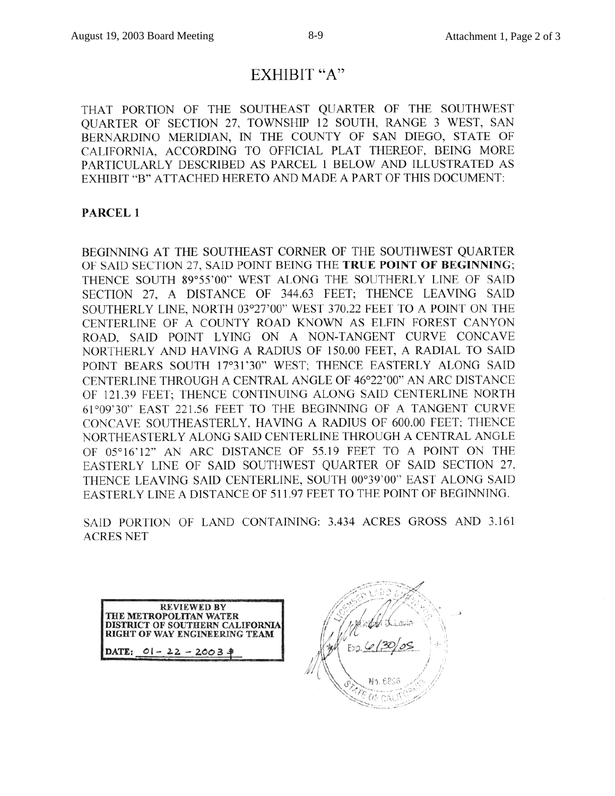# EXHIBIT "A"

THAT PORTION OF THE SOUTHEAST QUARTER OF THE SOUTHWEST QUARTER OF SECTION 27, TOWNSHIP 12 SOUTH, RANGE 3 WEST, SAN BERNARDINO MERIDIAN. IN THE COUNTY OF SAN DIEGO, STATE OF CALIFORNIA, ACCORDING TO OFFICIAL PLAT THEREOF, BEING MORE PARTICULARLY DESCRIBED AS PARCEL 1 BELOW AND ILLUSTRATED AS EXHIBIT "B" ATTACHED HERETO AND MADE A PART OF THIS DOCUMENT:

### PARCEL<sub>1</sub>

BEGINNING AT THE SOUTHEAST CORNER OF THE SOUTHWEST QUARTER OF SAID SECTION 27, SAID POINT BEING THE TRUE POINT OF BEGINNING; THENCE SOUTH 89°55'00" WEST ALONG THE SOUTHERLY LINE OF SAID SECTION 27, A DISTANCE OF 344.63 FEET; THENCE LEAVING SAID SOUTHERLY LINE, NORTH 03°27'00" WEST 370.22 FEET TO A POINT ON THE CENTERLINE OF A COUNTY ROAD KNOWN AS ELFIN FOREST CANYON ROAD, SAID POINT LYING ON A NON-TANGENT CURVE CONCAVE NORTHERLY AND HAVING A RADIUS OF 150.00 FEET, A RADIAL TO SAID POINT BEARS SOUTH 17°31'30" WEST; THENCE EASTERLY ALONG SAID CENTERLINE THROUGH A CENTRAL ANGLE OF 46°22'00" AN ARC DISTANCE OF 121.39 FEET; THENCE CONTINUING ALONG SAID CENTERLINE NORTH 61°09'30" EAST 221.56 FEET TO THE BEGINNING OF A TANGENT CURVE CONCAVE SOUTHEASTERLY, HAVING A RADIUS OF 600.00 FEET; THENCE NORTHEASTERLY ALONG SAID CENTERLINE THROUGH A CENTRAL ANGLE OF 05°16'12" AN ARC DISTANCE OF 55.19 FEET TO A POINT ON THE EASTERLY LINE OF SAID SOUTHWEST QUARTER OF SAID SECTION 27, THENCE LEAVING SAID CENTERLINE, SOUTH 00°39'00" EAST ALONG SAID EASTERLY LINE A DISTANCE OF 511.97 FEET TO THE POINT OF BEGINNING.

SAID PORTION OF LAND CONTAINING: 3.434 ACRES GROSS AND 3.161 **ACRES NET** 



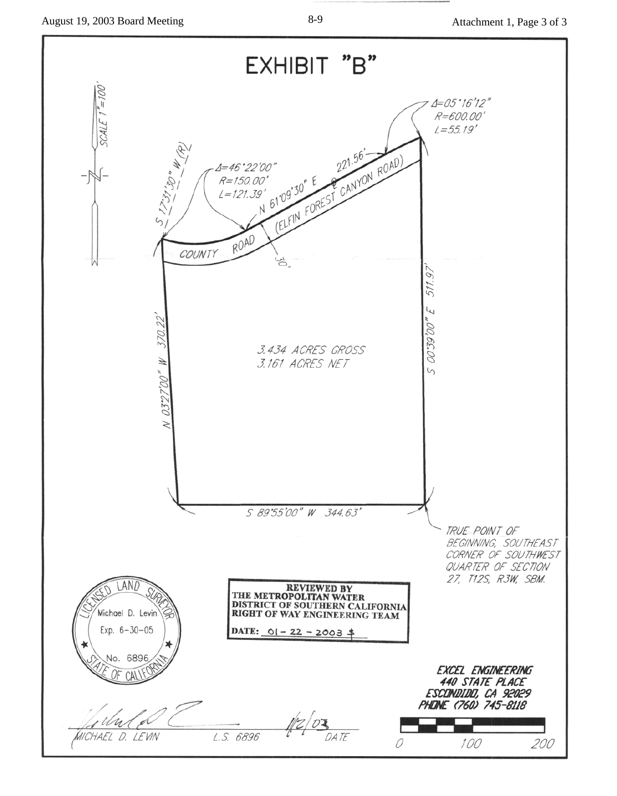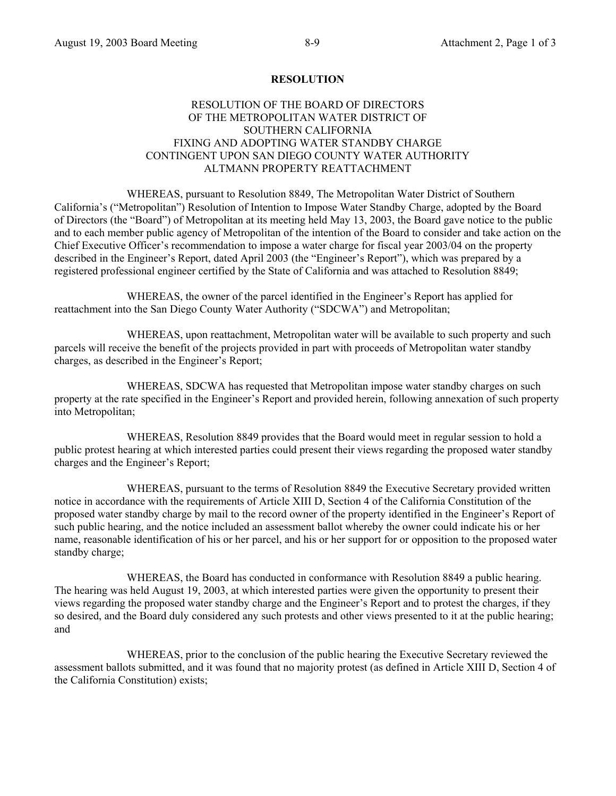#### **RESOLUTION**

### RESOLUTION OF THE BOARD OF DIRECTORS OF THE METROPOLITAN WATER DISTRICT OF SOUTHERN CALIFORNIA FIXING AND ADOPTING WATER STANDBY CHARGE CONTINGENT UPON SAN DIEGO COUNTY WATER AUTHORITY ALTMANN PROPERTY REATTACHMENT

 WHEREAS, pursuant to Resolution 8849, The Metropolitan Water District of Southern California's ("Metropolitan") Resolution of Intention to Impose Water Standby Charge, adopted by the Board of Directors (the "Board") of Metropolitan at its meeting held May 13, 2003, the Board gave notice to the public and to each member public agency of Metropolitan of the intention of the Board to consider and take action on the Chief Executive Officer's recommendation to impose a water charge for fiscal year 2003/04 on the property described in the Engineer's Report, dated April 2003 (the "Engineer's Report"), which was prepared by a registered professional engineer certified by the State of California and was attached to Resolution 8849;

 WHEREAS, the owner of the parcel identified in the Engineer's Report has applied for reattachment into the San Diego County Water Authority ("SDCWA") and Metropolitan;

 WHEREAS, upon reattachment, Metropolitan water will be available to such property and such parcels will receive the benefit of the projects provided in part with proceeds of Metropolitan water standby charges, as described in the Engineer's Report;

 WHEREAS, SDCWA has requested that Metropolitan impose water standby charges on such property at the rate specified in the Engineer's Report and provided herein, following annexation of such property into Metropolitan;

 WHEREAS, Resolution 8849 provides that the Board would meet in regular session to hold a public protest hearing at which interested parties could present their views regarding the proposed water standby charges and the Engineer's Report;

 WHEREAS, pursuant to the terms of Resolution 8849 the Executive Secretary provided written notice in accordance with the requirements of Article XIII D, Section 4 of the California Constitution of the proposed water standby charge by mail to the record owner of the property identified in the Engineer's Report of such public hearing, and the notice included an assessment ballot whereby the owner could indicate his or her name, reasonable identification of his or her parcel, and his or her support for or opposition to the proposed water standby charge;

 WHEREAS, the Board has conducted in conformance with Resolution 8849 a public hearing. The hearing was held August 19, 2003, at which interested parties were given the opportunity to present their views regarding the proposed water standby charge and the Engineer's Report and to protest the charges, if they so desired, and the Board duly considered any such protests and other views presented to it at the public hearing; and

 WHEREAS, prior to the conclusion of the public hearing the Executive Secretary reviewed the assessment ballots submitted, and it was found that no majority protest (as defined in Article XIII D, Section 4 of the California Constitution) exists;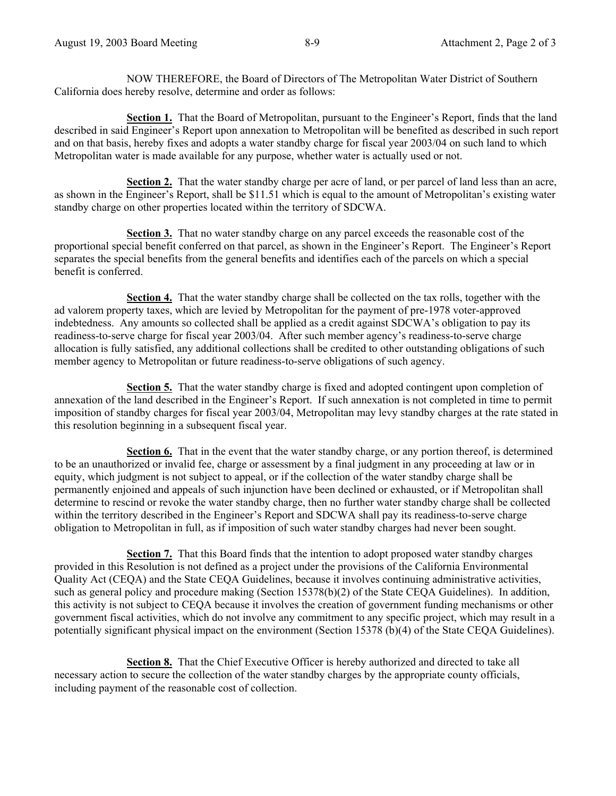NOW THEREFORE, the Board of Directors of The Metropolitan Water District of Southern California does hereby resolve, determine and order as follows:

 **Section 1.** That the Board of Metropolitan, pursuant to the Engineer's Report, finds that the land described in said Engineer's Report upon annexation to Metropolitan will be benefited as described in such report and on that basis, hereby fixes and adopts a water standby charge for fiscal year 2003/04 on such land to which Metropolitan water is made available for any purpose, whether water is actually used or not.

**Section 2.** That the water standby charge per acre of land, or per parcel of land less than an acre, as shown in the Engineer's Report, shall be \$11.51 which is equal to the amount of Metropolitan's existing water standby charge on other properties located within the territory of SDCWA.

 **Section 3.** That no water standby charge on any parcel exceeds the reasonable cost of the proportional special benefit conferred on that parcel, as shown in the Engineer's Report. The Engineer's Report separates the special benefits from the general benefits and identifies each of the parcels on which a special benefit is conferred.

 **Section 4.** That the water standby charge shall be collected on the tax rolls, together with the ad valorem property taxes, which are levied by Metropolitan for the payment of pre-1978 voter-approved indebtedness. Any amounts so collected shall be applied as a credit against SDCWA's obligation to pay its readiness-to-serve charge for fiscal year 2003/04. After such member agency's readiness-to-serve charge allocation is fully satisfied, any additional collections shall be credited to other outstanding obligations of such member agency to Metropolitan or future readiness-to-serve obligations of such agency.

 **Section 5.** That the water standby charge is fixed and adopted contingent upon completion of annexation of the land described in the Engineer's Report. If such annexation is not completed in time to permit imposition of standby charges for fiscal year 2003/04, Metropolitan may levy standby charges at the rate stated in this resolution beginning in a subsequent fiscal year.

 **Section 6.** That in the event that the water standby charge, or any portion thereof, is determined to be an unauthorized or invalid fee, charge or assessment by a final judgment in any proceeding at law or in equity, which judgment is not subject to appeal, or if the collection of the water standby charge shall be permanently enjoined and appeals of such injunction have been declined or exhausted, or if Metropolitan shall determine to rescind or revoke the water standby charge, then no further water standby charge shall be collected within the territory described in the Engineer's Report and SDCWA shall pay its readiness-to-serve charge obligation to Metropolitan in full, as if imposition of such water standby charges had never been sought.

 **Section 7.** That this Board finds that the intention to adopt proposed water standby charges provided in this Resolution is not defined as a project under the provisions of the California Environmental Quality Act (CEQA) and the State CEQA Guidelines, because it involves continuing administrative activities, such as general policy and procedure making (Section 15378(b)(2) of the State CEQA Guidelines). In addition, this activity is not subject to CEQA because it involves the creation of government funding mechanisms or other government fiscal activities, which do not involve any commitment to any specific project, which may result in a potentially significant physical impact on the environment (Section 15378 (b)(4) of the State CEQA Guidelines).

 **Section 8.** That the Chief Executive Officer is hereby authorized and directed to take all necessary action to secure the collection of the water standby charges by the appropriate county officials, including payment of the reasonable cost of collection.